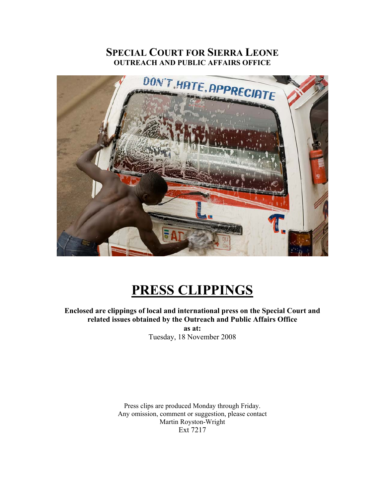# **SPECIAL COURT FOR SIERRA LEONE OUTREACH AND PUBLIC AFFAIRS OFFICE**



# **PRESS CLIPPINGS**

**Enclosed are clippings of local and international press on the Special Court and related issues obtained by the Outreach and Public Affairs Office as at:** 

Tuesday, 18 November 2008

Press clips are produced Monday through Friday. Any omission, comment or suggestion, please contact Martin Royston-Wright Ext 7217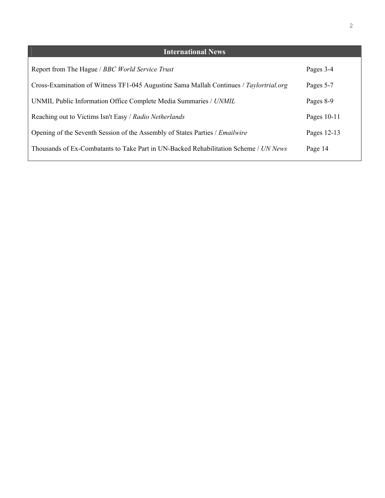| <b>International News</b>                                                              |               |
|----------------------------------------------------------------------------------------|---------------|
| Report from The Hague / BBC World Service Trust                                        | Pages 3-4     |
| Cross-Examination of Witness TF1-045 Augustine Sama Mallah Continues / Taylortrial.org | Pages 5-7     |
| UNMIL Public Information Office Complete Media Summaries / UNMIL                       | Pages 8-9     |
| Reaching out to Victims Isn't Easy / Radio Netherlands                                 | Pages $10-11$ |
| Opening of the Seventh Session of the Assembly of States Parties / Emailwire           | Pages 12-13   |
| Thousands of Ex-Combatants to Take Part in UN-Backed Rehabilitation Scheme / UN News   | Page 14       |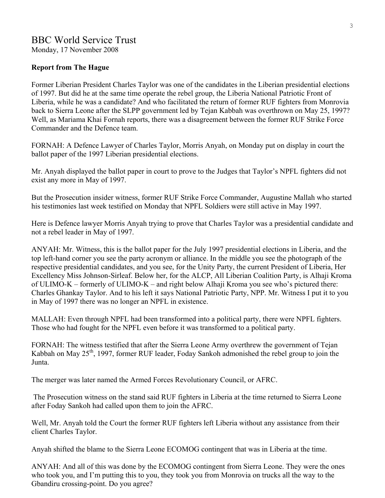## **Report from The Hague**

Former Liberian President Charles Taylor was one of the candidates in the Liberian presidential elections of 1997. But did he at the same time operate the rebel group, the Liberia National Patriotic Front of Liberia, while he was a candidate? And who facilitated the return of former RUF fighters from Monrovia back to Sierra Leone after the SLPP government led by Tejan Kabbah was overthrown on May 25, 1997? Well, as Mariama Khai Fornah reports, there was a disagreement between the former RUF Strike Force Commander and the Defence team.

FORNAH: A Defence Lawyer of Charles Taylor, Morris Anyah, on Monday put on display in court the ballot paper of the 1997 Liberian presidential elections.

Mr. Anyah displayed the ballot paper in court to prove to the Judges that Taylor's NPFL fighters did not exist any more in May of 1997.

But the Prosecution insider witness, former RUF Strike Force Commander, Augustine Mallah who started his testimonies last week testified on Monday that NPFL Soldiers were still active in May 1997.

Here is Defence lawyer Morris Anyah trying to prove that Charles Taylor was a presidential candidate and not a rebel leader in May of 1997.

ANYAH: Mr. Witness, this is the ballot paper for the July 1997 presidential elections in Liberia, and the top left-hand corner you see the party acronym or alliance. In the middle you see the photograph of the respective presidential candidates, and you see, for the Unity Party, the current President of Liberia, Her Excellency Miss Johnson-Sirleaf. Below her, for the ALCP, All Liberian Coalition Party, is Alhaji Kroma of ULIMO-K – formerly of ULIMO-K – and right below Alhaji Kroma you see who's pictured there: Charles Ghankay Taylor. And to his left it says National Patriotic Party, NPP. Mr. Witness I put it to you in May of 1997 there was no longer an NPFL in existence.

MALLAH: Even through NPFL had been transformed into a political party, there were NPFL fighters. Those who had fought for the NPFL even before it was transformed to a political party.

FORNAH: The witness testified that after the Sierra Leone Army overthrew the government of Tejan Kabbah on May 25<sup>th</sup>, 1997, former RUF leader, Foday Sankoh admonished the rebel group to join the Junta.

The merger was later named the Armed Forces Revolutionary Council, or AFRC.

 The Prosecution witness on the stand said RUF fighters in Liberia at the time returned to Sierra Leone after Foday Sankoh had called upon them to join the AFRC.

Well, Mr. Anyah told the Court the former RUF fighters left Liberia without any assistance from their client Charles Taylor.

Anyah shifted the blame to the Sierra Leone ECOMOG contingent that was in Liberia at the time.

ANYAH: And all of this was done by the ECOMOG contingent from Sierra Leone. They were the ones who took you, and I'm putting this to you, they took you from Monrovia on trucks all the way to the Gbandiru crossing-point. Do you agree?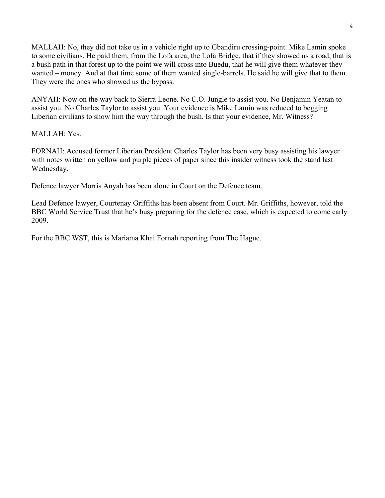MALLAH: No, they did not take us in a vehicle right up to Gbandiru crossing-point. Mike Lamin spoke to some civilians. He paid them, from the Lofa area, the Lofa Bridge, that if they showed us a road, that is a bush path in that forest up to the point we will cross into Buedu, that he will give them whatever they wanted – money. And at that time some of them wanted single-barrels. He said he will give that to them. They were the ones who showed us the bypass.

ANYAH: Now on the way back to Sierra Leone. No C.O. Jungle to assist you. No Benjamin Yeatan to assist you. No Charles Taylor to assist you. Your evidence is Mike Lamin was reduced to begging Liberian civilians to show him the way through the bush. Is that your evidence, Mr. Witness?

MALLAH: Yes.

FORNAH: Accused former Liberian President Charles Taylor has been very busy assisting his lawyer with notes written on yellow and purple pieces of paper since this insider witness took the stand last Wednesday.

Defence lawyer Morris Anyah has been alone in Court on the Defence team.

Lead Defence lawyer, Courtenay Griffiths has been absent from Court. Mr. Griffiths, however, told the BBC World Service Trust that he's busy preparing for the defence case, which is expected to come early 2009.

For the BBC WST, this is Mariama Khai Fornah reporting from The Hague.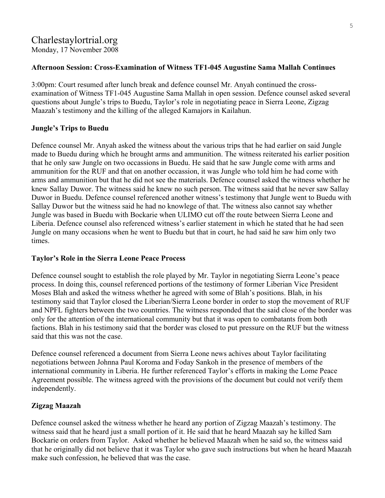# Charlestaylortrial.org Monday, 17 November 2008

## **Afternoon Session: Cross-Examination of Witness TF1-045 Augustine Sama Mallah Continues**

3:00pm: Court resumed after lunch break and defence counsel Mr. Anyah continued the crossexamination of Witness TF1-045 Augustine Sama Mallah in open session. Defence counsel asked several questions about Jungle's trips to Buedu, Taylor's role in negotiating peace in Sierra Leone, Zigzag Maazah's testimony and the killing of the alleged Kamajors in Kailahun.

#### **Jungle's Trips to Buedu**

Defence counsel Mr. Anyah asked the witness about the various trips that he had earlier on said Jungle made to Buedu during which he brought arms and ammunition. The witness reiterated his earlier position that he only saw Jungle on two occassions in Buedu. He said that he saw Jungle come with arms and ammunition for the RUF and that on another occassion, it was Jungle who told him he had come with arms and ammunition but that he did not see the materials. Defence counsel asked the witness whether he knew Sallay Duwor. The witness said he knew no such person. The witness said that he never saw Sallay Duwor in Buedu. Defence counsel referenced another witness's testimony that Jungle went to Buedu with Sallay Duwor but the witness said he had no knowlege of that. The witness also cannot say whether Jungle was based in Buedu with Bockarie when ULIMO cut off the route between Sierra Leone and Liberia. Defence counsel also referenced witness's earlier statement in which he stated that he had seen Jungle on many occasions when he went to Buedu but that in court, he had said he saw him only two times.

#### **Taylor's Role in the Sierra Leone Peace Process**

Defence counsel sought to establish the role played by Mr. Taylor in negotiating Sierra Leone's peace process. In doing this, counsel referenced portions of the testimony of former Liberian Vice President Moses Blah and asked the witness whether he agreed with some of Blah's positions. Blah, in his testimony said that Taylor closed the Liberian/Sierra Leone border in order to stop the movement of RUF and NPFL fighters between the two countries. The witness responded that the said close of the border was only for the attention of the international community but that it was open to combatants from both factions. Blah in his testimony said that the border was closed to put pressure on the RUF but the witness said that this was not the case.

Defence counsel referenced a document from Sierra Leone news achives about Taylor facilitating negotiations between Johnna Paul Koroma and Foday Sankoh in the presence of members of the international community in Liberia. He further referenced Taylor's efforts in making the Lome Peace Agreement possible. The witness agreed with the provisions of the document but could not verify them independently.

# **Zigzag Maazah**

Defence counsel asked the witness whether he heard any portion of Zigzag Maazah's testimony. The witness said that he heard just a small portion of it. He said that he heard Maazah say he killed Sam Bockarie on orders from Taylor. Asked whether he believed Maazah when he said so, the witness said that he originally did not believe that it was Taylor who gave such instructions but when he heard Maazah make such confession, he believed that was the case.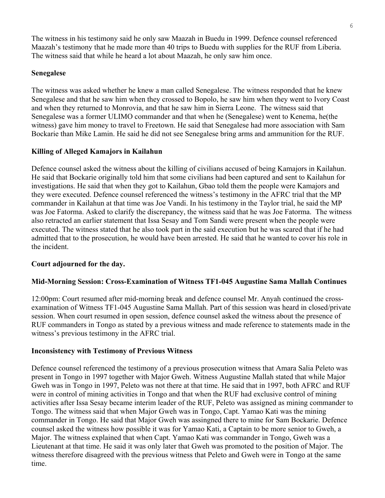The witness in his testimony said he only saw Maazah in Buedu in 1999. Defence counsel referenced Maazah's testimony that he made more than 40 trips to Buedu with supplies for the RUF from Liberia. The witness said that while he heard a lot about Maazah, he only saw him once.

# **Senegalese**

The witness was asked whether he knew a man called Senegalese. The witness responded that he knew Senegalese and that he saw him when they crossed to Bopolo, he saw him when they went to Ivory Coast and when they returned to Monrovia, and that he saw him in Sierra Leone. The witness said that Senegalese was a former ULIMO commander and that when he (Senegalese) went to Kenema, he(the witness) gave him money to travel to Freetown. He said that Senegalese had more association with Sam Bockarie than Mike Lamin. He said he did not see Senegalese bring arms and ammunition for the RUF.

# **Killing of Alleged Kamajors in Kailahun**

Defence counsel asked the witness about the killing of civilians accused of being Kamajors in Kailahun. He said that Bockarie originally told him that some civilians had been captured and sent to Kailahun for investigations. He said that when they got to Kailahun, Gbao told them the people were Kamajors and they were executed. Defence counsel referenced the witness's testimony in the AFRC trial that the MP commander in Kailahun at that time was Joe Vandi. In his testimony in the Taylor trial, he said the MP was Joe Fatorma. Asked to clarify the discrepancy, the witness said that he was Joe Fatorma. The witness also retracted an earlier statement that Issa Sesay and Tom Sandi were present when the people were executed. The witness stated that he also took part in the said execution but he was scared that if he had admitted that to the prosecution, he would have been arrested. He said that he wanted to cover his role in the incident.

# **Court adjourned for the day.**

# **Mid-Morning Session: Cross-Examination of Witness TF1-045 Augustine Sama Mallah Continues**

12:00pm: Court resumed after mid-morning break and defence counsel Mr. Anyah continued the crossexamination of Witness TF1-045 Augustine Sama Mallah. Part of this session was heard in closed/private session. When court resumed in open session, defence counsel asked the witness about the presence of RUF commanders in Tongo as stated by a previous witness and made reference to statements made in the witness's previous testimony in the AFRC trial.

# **Inconsistency with Testimony of Previous Witness**

Defence counsel referenced the testimony of a previous prosecution witness that Amara Salia Peleto was present in Tongo in 1997 together with Major Gweh. Witness Augustine Mallah stated that while Major Gweh was in Tongo in 1997, Peleto was not there at that time. He said that in 1997, both AFRC and RUF were in control of mining activities in Tongo and that when the RUF had exclusive control of mining activities after Issa Sesay became interim leader of the RUF, Peleto was assigned as mining commander to Tongo. The witness said that when Major Gweh was in Tongo, Capt. Yamao Kati was the mining commander in Tongo. He said that Major Gweh was assingned there to mine for Sam Bockarie. Defence counsel asked the witness how possible it was for Yamao Kati, a Captain to be more senior to Gweh, a Major. The witness explained that when Capt. Yamao Kati was commander in Tongo, Gweh was a Lieutenant at that time. He said it was only later that Gweh was promoted to the position of Major. The witness therefore disagreed with the previous witness that Peleto and Gweh were in Tongo at the same time.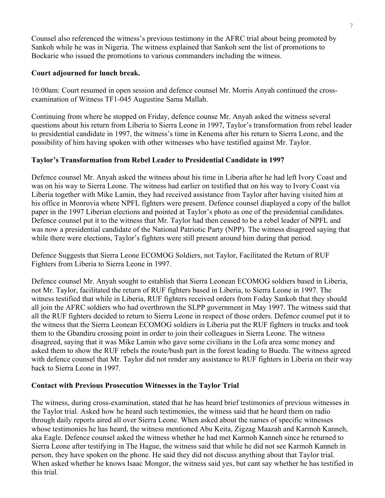Counsel also referenced the witness's previous testimony in the AFRC trial about being promoted by Sankoh while he was in Nigeria. The witness explained that Sankoh sent the list of promotions to Bockarie who issued the promotions to various commanders including the witness.

# **Court adjourned for lunch break.**

10:00am: Court resumed in open session and defence counsel Mr. Morris Anyah continued the crossexamination of Witness TF1-045 Augustine Sama Mallah.

Continuing from where he stopped on Friday, defence counse Mr. Anyah asked the witness several questions about his return from Liberia to Sierra Leone in 1997, Taylor's transformation from rebel leader to presidential candidate in 1997, the witness's time in Kenema after his return to Sierra Leone, and the possibility of him having spoken with other witnesses who have testified against Mr. Taylor.

# **Taylor's Transformation from Rebel Leader to Presidential Candidate in 1997**

Defence counsel Mr. Anyah asked the witness about his time in Liberia after he had left Ivory Coast and was on his way to Sierra Leone. The witness had earlier on testified that on his way to Ivory Coast via Liberia together with Mike Lamin, they had received assistance from Taylor after having visited him at his office in Monrovia where NPFL fighters were present. Defence counsel diaplayed a copy of the ballot paper in the 1997 Liberian elections and pointed at Taylor's photo as one of the presidential candidates. Defence counsel put it to the witness that Mr. Taylor had then ceased to be a rebel leader of NPFL and was now a presidential candidate of the National Patriotic Party (NPP). The witness disagreed saying that while there were elections, Taylor's fighters were still present around him during that period.

Defence Suggests that Sierra Leone ECOMOG Soldiers, not Taylor, Facilitated the Return of RUF Fighters from Liberia to Sierra Leone in 1997.

Defence counsel Mr. Anyah sought to establish that Sierra Leonean ECOMOG soldiers based in Liberia, not Mr. Taylor, facilitated the return of RUF fighters based in Liberia, to Sierra Leone in 1997. The witness testified that while in Liberia, RUF fighters received orders from Foday Sankoh that they should all join the AFRC soldiers who had overthrown the SLPP government in May 1997. The witness said that all the RUF fighters decided to return to Sierra Leone in respect of those orders. Defence counsel put it to the witness that the Sierra Leonean ECOMOG soldiers in Liberia put the RUF fighters in trucks and took them to the Gbandiru crossing point in order to join their colleagues in Sierra Leone. The witness disagreed, saying that it was Mike Lamin who gave some civilians in the Lofa area some money and asked them to show the RUF rebels the route/bush part in the forest leading to Buedu. The witness agreed with defence counsel that Mr. Taylor did not render any assistance to RUF fighters in Liberia on their way back to Sierra Leone in 1997.

# **Contact with Previous Prosecution Witnesses in the Taylor Trial**

The witness, during cross-examination, stated that he has heard brief testimonies of previous witnesses in the Taylor trial. Asked how he heard such testimonies, the witness said that he heard them on radio through daily reports aired all over Sierra Leone. When asked about the names of specific witnesses whose testimonies he has heard, the witness mentioned Abu Keita, Zigzag Maazah and Karmoh Kanneh, aka Eagle. Defence counsel asked the witness whether he had met Karmoh Kanneh since he returned to Sierra Leone after testifying in The Hague, the witness said that while he did not see Karmoh Kanneh in person, they have spoken on the phone. He said they did not discuss anything about that Taylor trial. When asked whether he knows Isaac Mongor, the witness said yes, but cant say whether he has testified in this trial.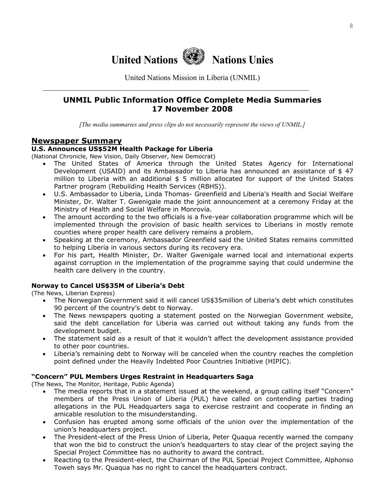

United Nations Mission in Liberia (UNMIL)

# **UNMIL Public Information Office Complete Media Summaries 17 November 2008**

*[The media summaries and press clips do not necessarily represent the views of UNMIL.]*

#### **Newspaper Summary**

#### **U.S. Announces US\$52M Health Package for Liberia**

(National Chronicle, New Vision, Daily Observer, New Democrat)

- The United States of America through the United States Agency for International Development (USAID) and its Ambassador to Liberia has announced an assistance of  $$47$ million to Liberia with an additional  $$5$  million allocated for support of the United States Partner program (Rebuilding Health Services (RBHS)).
- U.S. Ambassador to Liberia, Linda Thomas- Greenfield and Liberia's Health and Social Welfare Minister, Dr. Walter T. Gwenigale made the joint announcement at a ceremony Friday at the Ministry of Health and Social Welfare in Monrovia.
- The amount according to the two officials is a five-year collaboration programme which will be implemented through the provision of basic health services to Liberians in mostly remote counties where proper health care delivery remains a problem.
- Speaking at the ceremony, Ambassador Greenfield said the United States remains committed to helping Liberia in various sectors during its recovery era.
- For his part, Health Minister, Dr. Walter Gwenigale warned local and international experts against corruption in the implementation of the programme saying that could undermine the health care delivery in the country.

#### **Norway to Cancel US\$35M of Liberia's Debt**

(The News, Liberian Express)

- The Norwegian Government said it will cancel US\$35million of Liberia's debt which constitutes 90 percent of the country's debt to Norway.
- The News newspapers quoting a statement posted on the Norwegian Government website, said the debt cancellation for Liberia was carried out without taking any funds from the development budget.
- The statement said as a result of that it wouldn't affect the development assistance provided to other poor countries.
- Liberia's remaining debt to Norway will be canceled when the country reaches the completion point defined under the Heavily Indebted Poor Countries Initiative (HIPIC).

#### **"Concern" PUL Members Urges Restraint in Headquarters Saga**

(The News, The Monitor, Heritage, Public Agenda)

- The media reports that in a statement issued at the weekend, a group calling itself "Concern" members of the Press Union of Liberia (PUL) have called on contending parties trading allegations in the PUL Headquarters saga to exercise restraint and cooperate in finding an amicable resolution to the misunderstanding.
- Confusion has erupted among some officials of the union over the implementation of the union's headquarters project.
- The President-elect of the Press Union of Liberia, Peter Quaqua recently warned the company that won the bid to construct the union's headquarters to stay clear of the project saying the Special Project Committee has no authority to award the contract.
- Reacting to the President-elect, the Chairman of the PUL Special Project Committee, Alphonso Toweh says Mr. Quaqua has no right to cancel the headquarters contract.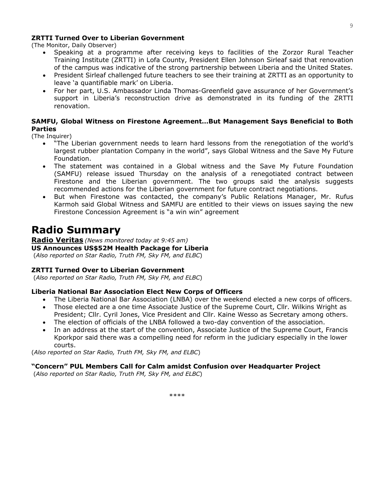#### **ZRTTI Turned Over to Liberian Government**

(The Monitor, Daily Observer)

- Speaking at a programme after receiving keys to facilities of the Zorzor Rural Teacher Training Institute (ZRTTI) in Lofa County, President Ellen Johnson Sirleaf said that renovation of the campus was indicative of the strong partnership between Liberia and the United States.
- President Sirleaf challenged future teachers to see their training at ZRTTI as an opportunity to leave 'a quantifiable mark' on Liberia.
- For her part, U.S. Ambassador Linda Thomas-Greenfield gave assurance of her Government's support in Liberia's reconstruction drive as demonstrated in its funding of the ZRTTI renovation.

#### **SAMFU, Global Witness on Firestone Agreement…But Management Says Beneficial to Both Parties**

(The Inquirer)

- "The Liberian government needs to learn hard lessons from the renegotiation of the world's largest rubber plantation Company in the world", says Global Witness and the Save My Future Foundation.
- The statement was contained in a Global witness and the Save My Future Foundation (SAMFU) release issued Thursday on the analysis of a renegotiated contract between Firestone and the Liberian government. The two groups said the analysis suggests recommended actions for the Liberian government for future contract negotiations.
- But when Firestone was contacted, the company's Public Relations Manager, Mr. Rufus Karmoh said Global Witness and SAMFU are entitled to their views on issues saying the new Firestone Concession Agreement is "a win win" agreement

# **Radio Summary**

**Radio Veritas** *(News monitored today at 9:45 am)* **US Announces US\$52M Health Package for Liberia**  (*Also reported on Star Radio, Truth FM, Sky FM, and ELBC*)

#### **ZRTTI Turned Over to Liberian Government**

(*Also reported on Star Radio, Truth FM, Sky FM, and ELBC*)

#### **Liberia National Bar Association Elect New Corps of Officers**

- The Liberia National Bar Association (LNBA) over the weekend elected a new corps of officers.
- Those elected are a one time Associate Justice of the Supreme Court, Cllr. Wilkins Wright as President; Cllr. Cyril Jones, Vice President and Cllr. Kaine Wesso as Secretary among others.
- The election of officials of the LNBA followed a two-day convention of the association.
- In an address at the start of the convention, Associate Justice of the Supreme Court, Francis Kporkpor said there was a compelling need for reform in the judiciary especially in the lower courts.

(*Also reported on Star Radio, Truth FM, Sky FM, and ELBC*)

#### **"Concern" PUL Members Call for Calm amidst Confusion over Headquarter Project**

(*Also reported on Star Radio, Truth FM, Sky FM, and ELBC*)

9

\*\*\*\*\*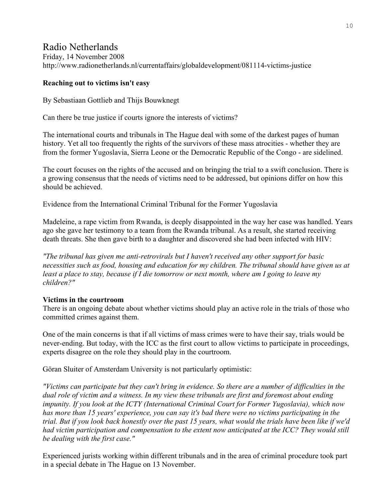# Radio Netherlands

Friday, 14 November 2008 http://www.radionetherlands.nl/currentaffairs/globaldevelopment/081114-victims-justice

# **Reaching out to victims isn't easy**

By Sebastiaan Gottlieb and Thijs Bouwknegt

Can there be true justice if courts ignore the interests of victims?

The international courts and tribunals in The Hague deal with some of the darkest pages of human history. Yet all too frequently the rights of the survivors of these mass atrocities - whether they are from the former Yugoslavia, Sierra Leone or the Democratic Republic of the Congo - are sidelined.

The court focuses on the rights of the accused and on bringing the trial to a swift conclusion. There is a growing consensus that the needs of victims need to be addressed, but opinions differ on how this should be achieved.

Evidence from the International Criminal Tribunal for the Former Yugoslavia

Madeleine, a rape victim from Rwanda, is deeply disappointed in the way her case was handled. Years ago she gave her testimony to a team from the Rwanda tribunal. As a result, she started receiving death threats. She then gave birth to a daughter and discovered she had been infected with HIV:

*"The tribunal has given me anti-retrovirals but I haven't received any other support for basic necessities such as food, housing and education for my children. The tribunal should have given us at least a place to stay, because if I die tomorrow or next month, where am I going to leave my children?"* 

# **Victims in the courtroom**

There is an ongoing debate about whether victims should play an active role in the trials of those who committed crimes against them.

One of the main concerns is that if all victims of mass crimes were to have their say, trials would be never-ending. But today, with the ICC as the first court to allow victims to participate in proceedings, experts disagree on the role they should play in the courtroom.

Göran Sluiter of Amsterdam University is not particularly optimistic:

*"Victims can participate but they can't bring in evidence. So there are a number of difficulties in the dual role of victim and a witness. In my view these tribunals are first and foremost about ending impunity. If you look at the ICTY (International Criminal Court for Former Yugoslavia), which now has more than 15 years' experience, you can say it's bad there were no victims participating in the trial. But if you look back honestly over the past 15 years, what would the trials have been like if we'd had victim participation and compensation to the extent now anticipated at the ICC? They would still be dealing with the first case."* 

Experienced jurists working within different tribunals and in the area of criminal procedure took part in a special debate in The Hague on 13 November.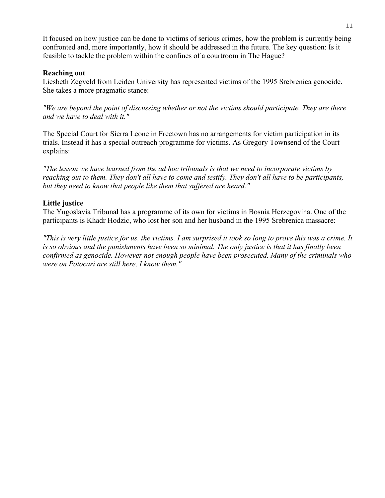It focused on how justice can be done to victims of serious crimes, how the problem is currently being confronted and, more importantly, how it should be addressed in the future. The key question: Is it feasible to tackle the problem within the confines of a courtroom in The Hague?

#### **Reaching out**

Liesbeth Zegveld from Leiden University has represented victims of the 1995 Srebrenica genocide. She takes a more pragmatic stance:

*"We are beyond the point of discussing whether or not the victims should participate. They are there and we have to deal with it."*

The Special Court for Sierra Leone in Freetown has no arrangements for victim participation in its trials. Instead it has a special outreach programme for victims. As Gregory Townsend of the Court explains:

*"The lesson we have learned from the ad hoc tribunals is that we need to incorporate victims by reaching out to them. They don't all have to come and testify. They don't all have to be participants, but they need to know that people like them that suffered are heard."* 

# **Little justice**

The Yugoslavia Tribunal has a programme of its own for victims in Bosnia Herzegovina. One of the participants is Khadr Hodzic, who lost her son and her husband in the 1995 Srebrenica massacre:

*"This is very little justice for us, the victims. I am surprised it took so long to prove this was a crime. It is so obvious and the punishments have been so minimal. The only justice is that it has finally been confirmed as genocide. However not enough people have been prosecuted. Many of the criminals who were on Potocari are still here, I know them."*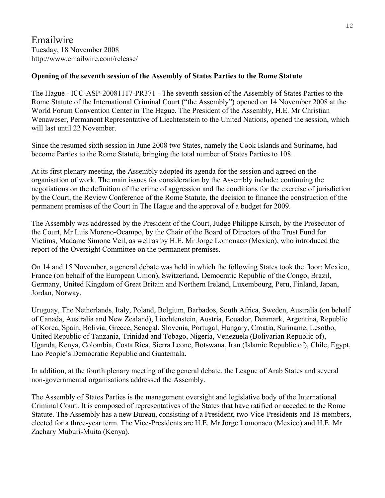Emailwire Tuesday, 18 November 2008 http://www.emailwire.com/release/

#### **Opening of the seventh session of the Assembly of States Parties to the Rome Statute**

The Hague - ICC-ASP-20081117-PR371 - The seventh session of the Assembly of States Parties to the Rome Statute of the International Criminal Court ("the Assembly") opened on 14 November 2008 at the World Forum Convention Center in The Hague. The President of the Assembly, H.E. Mr Christian Wenaweser, Permanent Representative of Liechtenstein to the United Nations, opened the session, which will last until 22 November.

Since the resumed sixth session in June 2008 two States, namely the Cook Islands and Suriname, had become Parties to the Rome Statute, bringing the total number of States Parties to 108.

At its first plenary meeting, the Assembly adopted its agenda for the session and agreed on the organisation of work. The main issues for consideration by the Assembly include: continuing the negotiations on the definition of the crime of aggression and the conditions for the exercise of jurisdiction by the Court, the Review Conference of the Rome Statute, the decision to finance the construction of the permanent premises of the Court in The Hague and the approval of a budget for 2009.

The Assembly was addressed by the President of the Court, Judge Philippe Kirsch, by the Prosecutor of the Court, Mr Luis Moreno-Ocampo, by the Chair of the Board of Directors of the Trust Fund for Victims, Madame Simone Veil, as well as by H.E. Mr Jorge Lomonaco (Mexico), who introduced the report of the Oversight Committee on the permanent premises.

On 14 and 15 November, a general debate was held in which the following States took the floor: Mexico, France (on behalf of the European Union), Switzerland, Democratic Republic of the Congo, Brazil, Germany, United Kingdom of Great Britain and Northern Ireland, Luxembourg, Peru, Finland, Japan, Jordan, Norway,

Uruguay, The Netherlands, Italy, Poland, Belgium, Barbados, South Africa, Sweden, Australia (on behalf of Canada, Australia and New Zealand), Liechtenstein, Austria, Ecuador, Denmark, Argentina, Republic of Korea, Spain, Bolivia, Greece, Senegal, Slovenia, Portugal, Hungary, Croatia, Suriname, Lesotho, United Republic of Tanzania, Trinidad and Tobago, Nigeria, Venezuela (Bolivarian Republic of), Uganda, Kenya, Colombia, Costa Rica, Sierra Leone, Botswana, Iran (Islamic Republic of), Chile, Egypt, Lao People's Democratic Republic and Guatemala.

In addition, at the fourth plenary meeting of the general debate, the League of Arab States and several non-governmental organisations addressed the Assembly.

The Assembly of States Parties is the management oversight and legislative body of the International Criminal Court. It is composed of representatives of the States that have ratified or acceded to the Rome Statute. The Assembly has a new Bureau, consisting of a President, two Vice-Presidents and 18 members, elected for a three-year term. The Vice-Presidents are H.E. Mr Jorge Lomonaco (Mexico) and H.E. Mr Zachary Muburi-Muita (Kenya).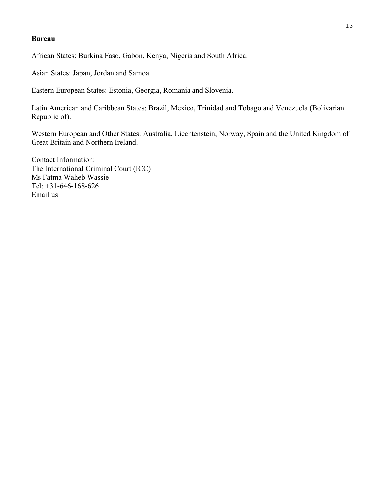#### **Bureau**

African States: Burkina Faso, Gabon, Kenya, Nigeria and South Africa.

Asian States: Japan, Jordan and Samoa.

Eastern European States: Estonia, Georgia, Romania and Slovenia.

Latin American and Caribbean States: Brazil, Mexico, Trinidad and Tobago and Venezuela (Bolivarian Republic of).

Western European and Other States: Australia, Liechtenstein, Norway, Spain and the United Kingdom of Great Britain and Northern Ireland.

Contact Information: The International Criminal Court (ICC) Ms Fatma Waheb Wassie Tel: +31-646-168-626 Email us